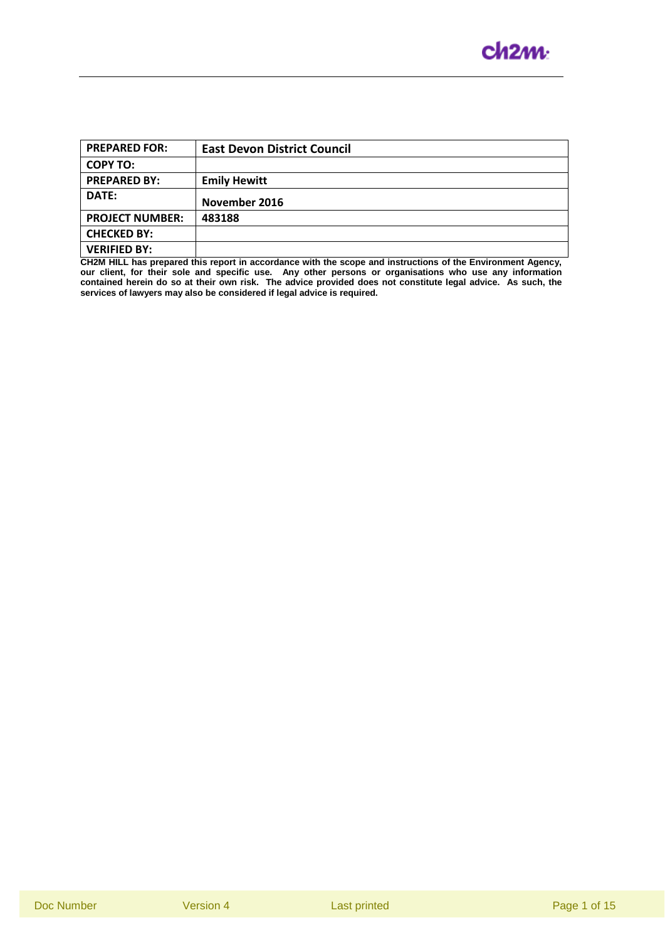| <b>PREPARED FOR:</b>   | <b>East Devon District Council</b> |
|------------------------|------------------------------------|
| <b>COPY TO:</b>        |                                    |
| <b>PREPARED BY:</b>    | <b>Emily Hewitt</b>                |
| DATE:                  | November 2016                      |
| <b>PROJECT NUMBER:</b> | 483188                             |
| <b>CHECKED BY:</b>     |                                    |
| <b>VERIFIED BY:</b>    |                                    |

**CH2M HILL has prepared this report in accordance with the scope and instructions of the Environment Agency, our client, for their sole and specific use. Any other persons or organisations who use any information contained herein do so at their own risk. The advice provided does not constitute legal advice. As such, the services of lawyers may also be considered if legal advice is required.**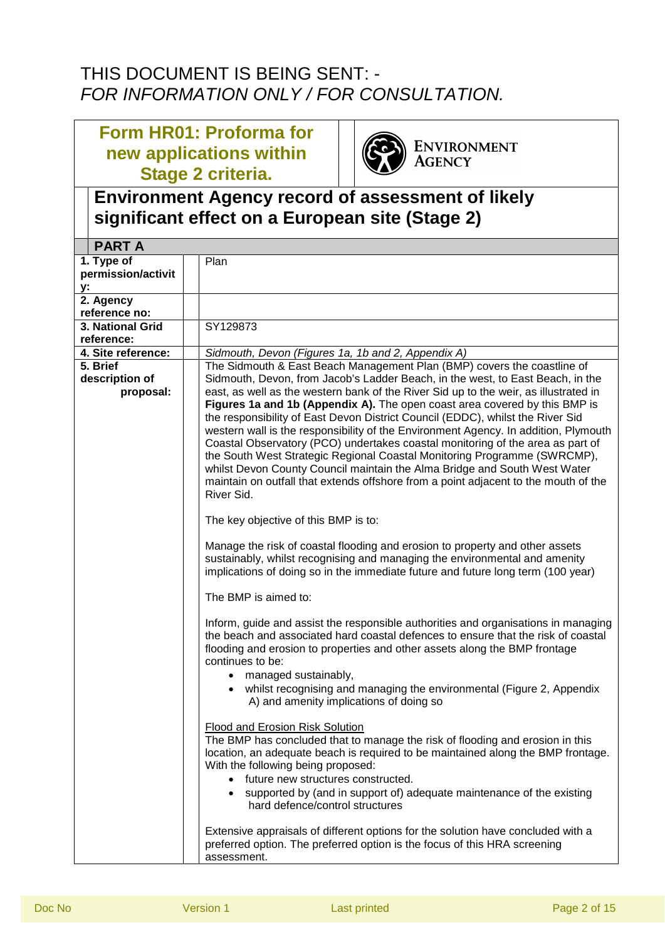### THIS DOCUMENT IS BEING SENT: - *FOR INFORMATION ONLY / FOR CONSULTATION.*

#### **Form HR01: Proforma for new applications within Stage 2 criteria.**



ENVIRONMENT<br>AGENCY

## **Environment Agency record of assessment of likely significant effect on a European site (Stage 2)**

| <b>PARTA</b>       |                                                                                                                                                                                                                                                                                                                                                                                                                                                                                                                                                                                                                                                                                             |
|--------------------|---------------------------------------------------------------------------------------------------------------------------------------------------------------------------------------------------------------------------------------------------------------------------------------------------------------------------------------------------------------------------------------------------------------------------------------------------------------------------------------------------------------------------------------------------------------------------------------------------------------------------------------------------------------------------------------------|
| 1. Type of         | Plan                                                                                                                                                                                                                                                                                                                                                                                                                                                                                                                                                                                                                                                                                        |
| permission/activit |                                                                                                                                                                                                                                                                                                                                                                                                                                                                                                                                                                                                                                                                                             |
| у:                 |                                                                                                                                                                                                                                                                                                                                                                                                                                                                                                                                                                                                                                                                                             |
| 2. Agency          |                                                                                                                                                                                                                                                                                                                                                                                                                                                                                                                                                                                                                                                                                             |
| reference no:      |                                                                                                                                                                                                                                                                                                                                                                                                                                                                                                                                                                                                                                                                                             |
| 3. National Grid   | SY129873                                                                                                                                                                                                                                                                                                                                                                                                                                                                                                                                                                                                                                                                                    |
| reference:         |                                                                                                                                                                                                                                                                                                                                                                                                                                                                                                                                                                                                                                                                                             |
| 4. Site reference: | Sidmouth, Devon (Figures 1a, 1b and 2, Appendix A)                                                                                                                                                                                                                                                                                                                                                                                                                                                                                                                                                                                                                                          |
| 5. Brief           | The Sidmouth & East Beach Management Plan (BMP) covers the coastline of                                                                                                                                                                                                                                                                                                                                                                                                                                                                                                                                                                                                                     |
| description of     | Sidmouth, Devon, from Jacob's Ladder Beach, in the west, to East Beach, in the                                                                                                                                                                                                                                                                                                                                                                                                                                                                                                                                                                                                              |
| proposal:          | east, as well as the western bank of the River Sid up to the weir, as illustrated in<br>Figures 1a and 1b (Appendix A). The open coast area covered by this BMP is<br>the responsibility of East Devon District Council (EDDC), whilst the River Sid<br>western wall is the responsibility of the Environment Agency. In addition, Plymouth<br>Coastal Observatory (PCO) undertakes coastal monitoring of the area as part of<br>the South West Strategic Regional Coastal Monitoring Programme (SWRCMP),<br>whilst Devon County Council maintain the Alma Bridge and South West Water<br>maintain on outfall that extends offshore from a point adjacent to the mouth of the<br>River Sid. |
|                    | The key objective of this BMP is to:                                                                                                                                                                                                                                                                                                                                                                                                                                                                                                                                                                                                                                                        |
|                    | Manage the risk of coastal flooding and erosion to property and other assets<br>sustainably, whilst recognising and managing the environmental and amenity<br>implications of doing so in the immediate future and future long term (100 year)                                                                                                                                                                                                                                                                                                                                                                                                                                              |
|                    | The BMP is aimed to:                                                                                                                                                                                                                                                                                                                                                                                                                                                                                                                                                                                                                                                                        |
|                    | Inform, guide and assist the responsible authorities and organisations in managing<br>the beach and associated hard coastal defences to ensure that the risk of coastal<br>flooding and erosion to properties and other assets along the BMP frontage<br>continues to be:<br>• managed sustainably,<br>• whilst recognising and managing the environmental (Figure 2, Appendix<br>A) and amenity implications of doing so                                                                                                                                                                                                                                                                   |
|                    | Flood and Erosion Risk Solution<br>The BMP has concluded that to manage the risk of flooding and erosion in this<br>location, an adequate beach is required to be maintained along the BMP frontage.<br>With the following being proposed:<br>future new structures constructed.<br>supported by (and in support of) adequate maintenance of the existing<br>$\bullet$<br>hard defence/control structures                                                                                                                                                                                                                                                                                   |
|                    | Extensive appraisals of different options for the solution have concluded with a<br>preferred option. The preferred option is the focus of this HRA screening<br>assessment.                                                                                                                                                                                                                                                                                                                                                                                                                                                                                                                |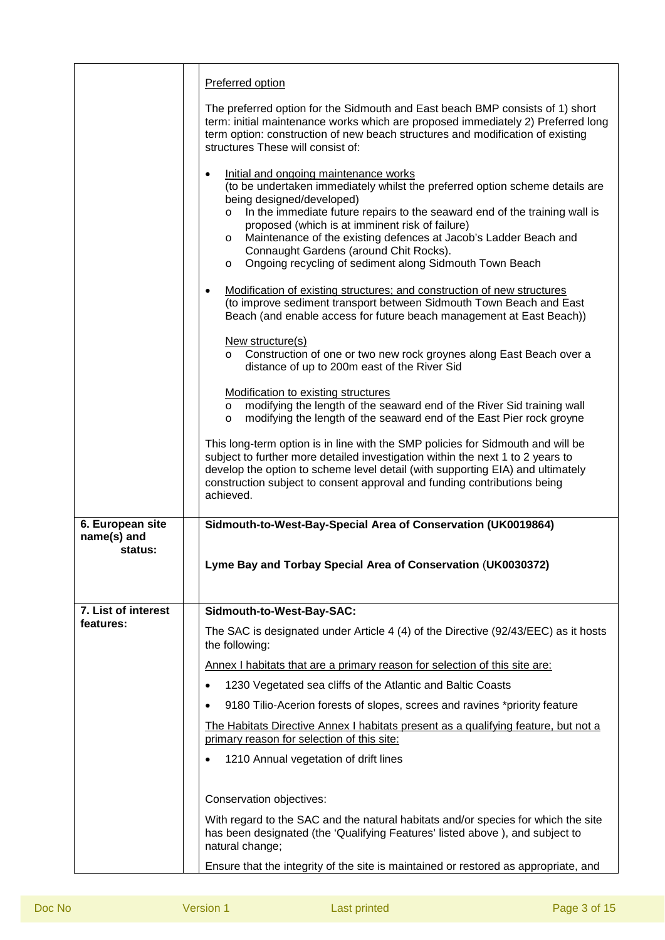|                                 | Preferred option                                                                                                                                                                                                                                                                                                                                                                                                                                                                                                                                                                                                                                                                                                                                                                                                                                                                                                                                                                                                                                                                                                                       |  |
|---------------------------------|----------------------------------------------------------------------------------------------------------------------------------------------------------------------------------------------------------------------------------------------------------------------------------------------------------------------------------------------------------------------------------------------------------------------------------------------------------------------------------------------------------------------------------------------------------------------------------------------------------------------------------------------------------------------------------------------------------------------------------------------------------------------------------------------------------------------------------------------------------------------------------------------------------------------------------------------------------------------------------------------------------------------------------------------------------------------------------------------------------------------------------------|--|
|                                 | The preferred option for the Sidmouth and East beach BMP consists of 1) short<br>term: initial maintenance works which are proposed immediately 2) Preferred long<br>term option: construction of new beach structures and modification of existing<br>structures These will consist of:<br>Initial and ongoing maintenance works<br>$\bullet$<br>(to be undertaken immediately whilst the preferred option scheme details are<br>being designed/developed)<br>In the immediate future repairs to the seaward end of the training wall is<br>$\circ$<br>proposed (which is at imminent risk of failure)<br>Maintenance of the existing defences at Jacob's Ladder Beach and<br>$\circ$<br>Connaught Gardens (around Chit Rocks).<br>Ongoing recycling of sediment along Sidmouth Town Beach<br>$\circ$<br>Modification of existing structures; and construction of new structures<br>(to improve sediment transport between Sidmouth Town Beach and East<br>Beach (and enable access for future beach management at East Beach))<br>New structure(s)<br>Construction of one or two new rock groynes along East Beach over a<br>$\circ$ |  |
|                                 | distance of up to 200m east of the River Sid                                                                                                                                                                                                                                                                                                                                                                                                                                                                                                                                                                                                                                                                                                                                                                                                                                                                                                                                                                                                                                                                                           |  |
|                                 | Modification to existing structures<br>modifying the length of the seaward end of the River Sid training wall<br>$\circ$<br>modifying the length of the seaward end of the East Pier rock groyne<br>$\circ$                                                                                                                                                                                                                                                                                                                                                                                                                                                                                                                                                                                                                                                                                                                                                                                                                                                                                                                            |  |
|                                 | This long-term option is in line with the SMP policies for Sidmouth and will be<br>subject to further more detailed investigation within the next 1 to 2 years to<br>develop the option to scheme level detail (with supporting EIA) and ultimately<br>construction subject to consent approval and funding contributions being<br>achieved.                                                                                                                                                                                                                                                                                                                                                                                                                                                                                                                                                                                                                                                                                                                                                                                           |  |
| 6. European site<br>name(s) and | Sidmouth-to-West-Bay-Special Area of Conservation (UK0019864)                                                                                                                                                                                                                                                                                                                                                                                                                                                                                                                                                                                                                                                                                                                                                                                                                                                                                                                                                                                                                                                                          |  |
| status:                         | Lyme Bay and Torbay Special Area of Conservation (UK0030372)                                                                                                                                                                                                                                                                                                                                                                                                                                                                                                                                                                                                                                                                                                                                                                                                                                                                                                                                                                                                                                                                           |  |
| 7. List of interest             | Sidmouth-to-West-Bay-SAC:                                                                                                                                                                                                                                                                                                                                                                                                                                                                                                                                                                                                                                                                                                                                                                                                                                                                                                                                                                                                                                                                                                              |  |
| features:                       | The SAC is designated under Article 4 (4) of the Directive (92/43/EEC) as it hosts<br>the following:                                                                                                                                                                                                                                                                                                                                                                                                                                                                                                                                                                                                                                                                                                                                                                                                                                                                                                                                                                                                                                   |  |
|                                 | Annex I habitats that are a primary reason for selection of this site are:                                                                                                                                                                                                                                                                                                                                                                                                                                                                                                                                                                                                                                                                                                                                                                                                                                                                                                                                                                                                                                                             |  |
|                                 | 1230 Vegetated sea cliffs of the Atlantic and Baltic Coasts                                                                                                                                                                                                                                                                                                                                                                                                                                                                                                                                                                                                                                                                                                                                                                                                                                                                                                                                                                                                                                                                            |  |
|                                 | 9180 Tilio-Acerion forests of slopes, screes and ravines *priority feature                                                                                                                                                                                                                                                                                                                                                                                                                                                                                                                                                                                                                                                                                                                                                                                                                                                                                                                                                                                                                                                             |  |
|                                 | <u>The Habitats Directive Annex I habitats present as a qualifying feature, but not a</u><br>primary reason for selection of this site:                                                                                                                                                                                                                                                                                                                                                                                                                                                                                                                                                                                                                                                                                                                                                                                                                                                                                                                                                                                                |  |
|                                 | 1210 Annual vegetation of drift lines                                                                                                                                                                                                                                                                                                                                                                                                                                                                                                                                                                                                                                                                                                                                                                                                                                                                                                                                                                                                                                                                                                  |  |
|                                 | Conservation objectives:                                                                                                                                                                                                                                                                                                                                                                                                                                                                                                                                                                                                                                                                                                                                                                                                                                                                                                                                                                                                                                                                                                               |  |
|                                 | With regard to the SAC and the natural habitats and/or species for which the site<br>has been designated (the 'Qualifying Features' listed above), and subject to<br>natural change;                                                                                                                                                                                                                                                                                                                                                                                                                                                                                                                                                                                                                                                                                                                                                                                                                                                                                                                                                   |  |
|                                 | Ensure that the integrity of the site is maintained or restored as appropriate, and                                                                                                                                                                                                                                                                                                                                                                                                                                                                                                                                                                                                                                                                                                                                                                                                                                                                                                                                                                                                                                                    |  |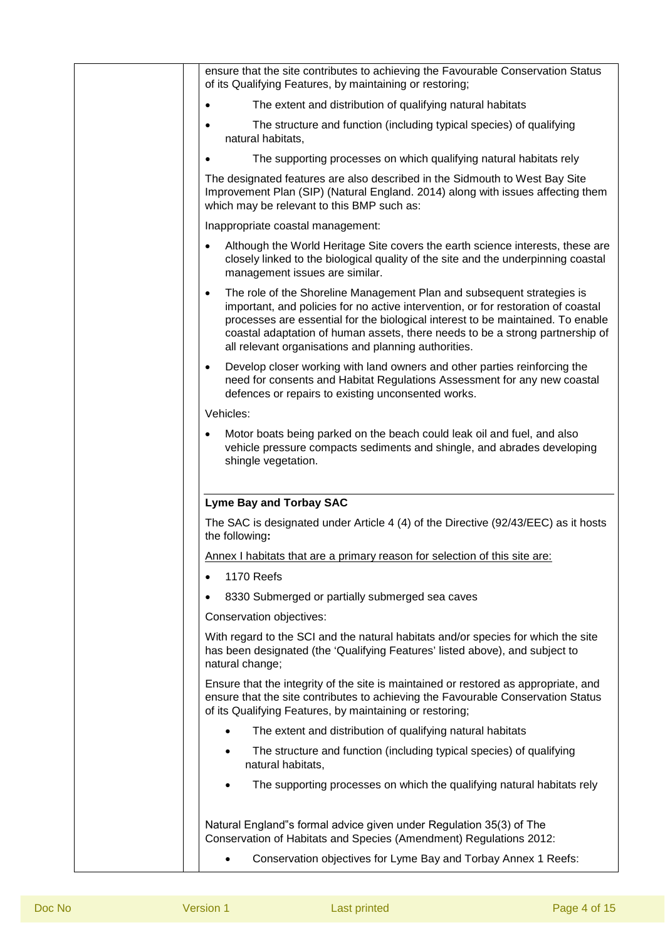|           | ensure that the site contributes to achieving the Favourable Conservation Status<br>of its Qualifying Features, by maintaining or restoring;                                                                                                                                                                                                                                            |
|-----------|-----------------------------------------------------------------------------------------------------------------------------------------------------------------------------------------------------------------------------------------------------------------------------------------------------------------------------------------------------------------------------------------|
|           | The extent and distribution of qualifying natural habitats                                                                                                                                                                                                                                                                                                                              |
| $\bullet$ | The structure and function (including typical species) of qualifying<br>natural habitats,                                                                                                                                                                                                                                                                                               |
|           | The supporting processes on which qualifying natural habitats rely                                                                                                                                                                                                                                                                                                                      |
|           | The designated features are also described in the Sidmouth to West Bay Site<br>Improvement Plan (SIP) (Natural England. 2014) along with issues affecting them<br>which may be relevant to this BMP such as:                                                                                                                                                                            |
|           | Inappropriate coastal management:                                                                                                                                                                                                                                                                                                                                                       |
| $\bullet$ | Although the World Heritage Site covers the earth science interests, these are<br>closely linked to the biological quality of the site and the underpinning coastal<br>management issues are similar.                                                                                                                                                                                   |
| $\bullet$ | The role of the Shoreline Management Plan and subsequent strategies is<br>important, and policies for no active intervention, or for restoration of coastal<br>processes are essential for the biological interest to be maintained. To enable<br>coastal adaptation of human assets, there needs to be a strong partnership of<br>all relevant organisations and planning authorities. |
| $\bullet$ | Develop closer working with land owners and other parties reinforcing the<br>need for consents and Habitat Regulations Assessment for any new coastal<br>defences or repairs to existing unconsented works.                                                                                                                                                                             |
|           | Vehicles:                                                                                                                                                                                                                                                                                                                                                                               |
|           | Motor boats being parked on the beach could leak oil and fuel, and also                                                                                                                                                                                                                                                                                                                 |
| ٠         | vehicle pressure compacts sediments and shingle, and abrades developing<br>shingle vegetation.                                                                                                                                                                                                                                                                                          |
|           | <b>Lyme Bay and Torbay SAC</b>                                                                                                                                                                                                                                                                                                                                                          |
|           | The SAC is designated under Article 4 (4) of the Directive (92/43/EEC) as it hosts<br>the following:                                                                                                                                                                                                                                                                                    |
|           |                                                                                                                                                                                                                                                                                                                                                                                         |
|           | Annex I habitats that are a primary reason for selection of this site are:<br>1170 Reefs                                                                                                                                                                                                                                                                                                |
|           |                                                                                                                                                                                                                                                                                                                                                                                         |
|           | 8330 Submerged or partially submerged sea caves<br>Conservation objectives:                                                                                                                                                                                                                                                                                                             |
|           | With regard to the SCI and the natural habitats and/or species for which the site<br>has been designated (the 'Qualifying Features' listed above), and subject to<br>natural change;                                                                                                                                                                                                    |
|           | Ensure that the integrity of the site is maintained or restored as appropriate, and<br>ensure that the site contributes to achieving the Favourable Conservation Status<br>of its Qualifying Features, by maintaining or restoring;                                                                                                                                                     |
|           | The extent and distribution of qualifying natural habitats                                                                                                                                                                                                                                                                                                                              |
|           | The structure and function (including typical species) of qualifying<br>natural habitats,                                                                                                                                                                                                                                                                                               |
|           | The supporting processes on which the qualifying natural habitats rely                                                                                                                                                                                                                                                                                                                  |
|           | Natural England"s formal advice given under Regulation 35(3) of The<br>Conservation of Habitats and Species (Amendment) Regulations 2012:                                                                                                                                                                                                                                               |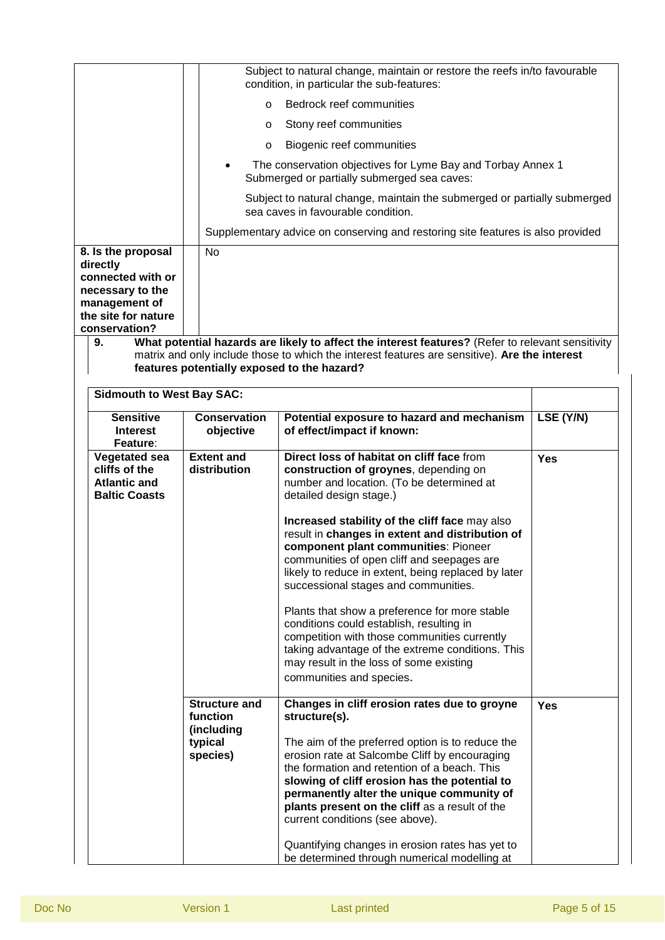| Subject to natural change, maintain or restore the reefs in/to favourable<br>condition, in particular the sub-features:                                                                                                                                 |                                                                                                            |                                                                                                                                                                                                                                                                                                                                                                                                                                                                                                                                                                                                                                                                                                                              |            |  |
|---------------------------------------------------------------------------------------------------------------------------------------------------------------------------------------------------------------------------------------------------------|------------------------------------------------------------------------------------------------------------|------------------------------------------------------------------------------------------------------------------------------------------------------------------------------------------------------------------------------------------------------------------------------------------------------------------------------------------------------------------------------------------------------------------------------------------------------------------------------------------------------------------------------------------------------------------------------------------------------------------------------------------------------------------------------------------------------------------------------|------------|--|
|                                                                                                                                                                                                                                                         | Bedrock reef communities<br>$\circ$                                                                        |                                                                                                                                                                                                                                                                                                                                                                                                                                                                                                                                                                                                                                                                                                                              |            |  |
| Stony reef communities<br>$\circ$                                                                                                                                                                                                                       |                                                                                                            |                                                                                                                                                                                                                                                                                                                                                                                                                                                                                                                                                                                                                                                                                                                              |            |  |
| Biogenic reef communities<br>$\circ$                                                                                                                                                                                                                    |                                                                                                            |                                                                                                                                                                                                                                                                                                                                                                                                                                                                                                                                                                                                                                                                                                                              |            |  |
|                                                                                                                                                                                                                                                         | The conservation objectives for Lyme Bay and Torbay Annex 1<br>Submerged or partially submerged sea caves: |                                                                                                                                                                                                                                                                                                                                                                                                                                                                                                                                                                                                                                                                                                                              |            |  |
|                                                                                                                                                                                                                                                         |                                                                                                            | Subject to natural change, maintain the submerged or partially submerged<br>sea caves in favourable condition.                                                                                                                                                                                                                                                                                                                                                                                                                                                                                                                                                                                                               |            |  |
|                                                                                                                                                                                                                                                         |                                                                                                            | Supplementary advice on conserving and restoring site features is also provided                                                                                                                                                                                                                                                                                                                                                                                                                                                                                                                                                                                                                                              |            |  |
| <b>No</b><br>8. Is the proposal<br>directly                                                                                                                                                                                                             |                                                                                                            |                                                                                                                                                                                                                                                                                                                                                                                                                                                                                                                                                                                                                                                                                                                              |            |  |
| connected with or                                                                                                                                                                                                                                       |                                                                                                            |                                                                                                                                                                                                                                                                                                                                                                                                                                                                                                                                                                                                                                                                                                                              |            |  |
| necessary to the<br>management of                                                                                                                                                                                                                       |                                                                                                            |                                                                                                                                                                                                                                                                                                                                                                                                                                                                                                                                                                                                                                                                                                                              |            |  |
| the site for nature                                                                                                                                                                                                                                     |                                                                                                            |                                                                                                                                                                                                                                                                                                                                                                                                                                                                                                                                                                                                                                                                                                                              |            |  |
| conservation?                                                                                                                                                                                                                                           |                                                                                                            |                                                                                                                                                                                                                                                                                                                                                                                                                                                                                                                                                                                                                                                                                                                              |            |  |
| What potential hazards are likely to affect the interest features? (Refer to relevant sensitivity<br>9.<br>matrix and only include those to which the interest features are sensitive). Are the interest<br>features potentially exposed to the hazard? |                                                                                                            |                                                                                                                                                                                                                                                                                                                                                                                                                                                                                                                                                                                                                                                                                                                              |            |  |
| <b>Sidmouth to West Bay SAC:</b>                                                                                                                                                                                                                        |                                                                                                            |                                                                                                                                                                                                                                                                                                                                                                                                                                                                                                                                                                                                                                                                                                                              |            |  |
| <b>Sensitive</b><br><b>Interest</b><br>Feature:                                                                                                                                                                                                         | <b>Conservation</b><br>objective                                                                           | Potential exposure to hazard and mechanism<br>of effect/impact if known:                                                                                                                                                                                                                                                                                                                                                                                                                                                                                                                                                                                                                                                     | LSE (Y/N)  |  |
| <b>Vegetated sea</b><br>cliffs of the<br><b>Atlantic and</b><br><b>Baltic Coasts</b>                                                                                                                                                                    | <b>Extent and</b><br>distribution                                                                          | Direct loss of habitat on cliff face from<br>construction of groynes, depending on<br>number and location. (To be determined at<br>detailed design stage.)<br>Increased stability of the cliff face may also<br>result in changes in extent and distribution of<br>component plant communities: Pioneer<br>communities of open cliff and seepages are<br>likely to reduce in extent, being replaced by later<br>successional stages and communities.<br>Plants that show a preference for more stable<br>conditions could establish, resulting in<br>competition with those communities currently<br>taking advantage of the extreme conditions. This<br>may result in the loss of some existing<br>communities and species. | <b>Yes</b> |  |
|                                                                                                                                                                                                                                                         | <b>Structure and</b><br>function<br>(including<br>typical<br>species)                                      | Changes in cliff erosion rates due to groyne<br>structure(s).<br>The aim of the preferred option is to reduce the<br>erosion rate at Salcombe Cliff by encouraging<br>the formation and retention of a beach. This<br>slowing of cliff erosion has the potential to<br>permanently alter the unique community of<br>plants present on the cliff as a result of the<br>current conditions (see above).<br>Quantifying changes in erosion rates has yet to<br>be determined through numerical modelling at                                                                                                                                                                                                                     | <b>Yes</b> |  |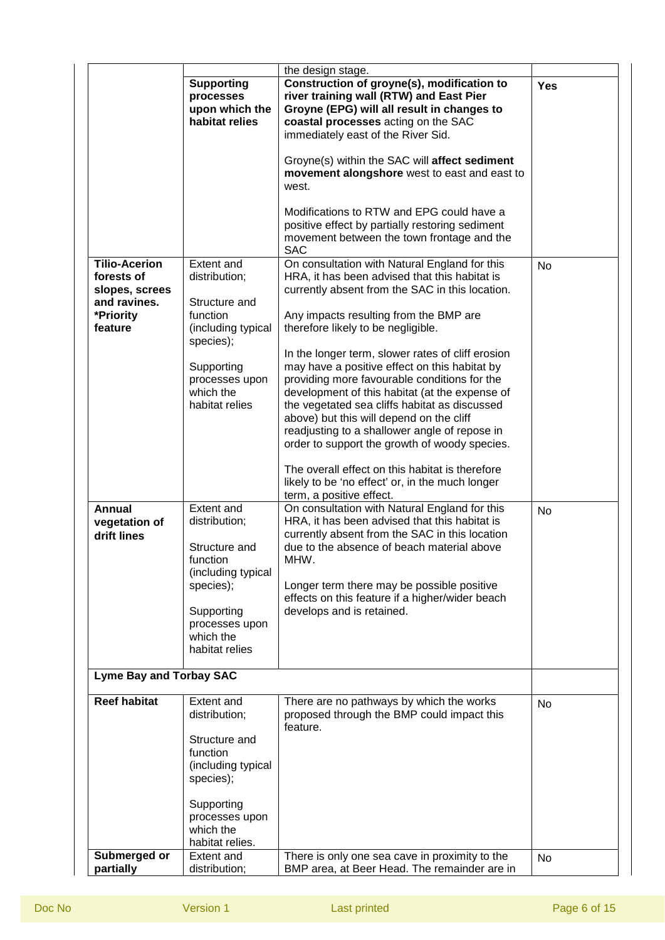|                                                                                              |                                                                                                                                                                                                                                                                                                                                                                                                                                                                                                                                                                                                                                                                                                                                                                                                                                                                                                                                                | the design stage.                                                                                                                                                                                                                                                                                                                                                                                                                                                                      |            |
|----------------------------------------------------------------------------------------------|------------------------------------------------------------------------------------------------------------------------------------------------------------------------------------------------------------------------------------------------------------------------------------------------------------------------------------------------------------------------------------------------------------------------------------------------------------------------------------------------------------------------------------------------------------------------------------------------------------------------------------------------------------------------------------------------------------------------------------------------------------------------------------------------------------------------------------------------------------------------------------------------------------------------------------------------|----------------------------------------------------------------------------------------------------------------------------------------------------------------------------------------------------------------------------------------------------------------------------------------------------------------------------------------------------------------------------------------------------------------------------------------------------------------------------------------|------------|
|                                                                                              | <b>Supporting</b><br>processes<br>upon which the<br>habitat relies                                                                                                                                                                                                                                                                                                                                                                                                                                                                                                                                                                                                                                                                                                                                                                                                                                                                             | Construction of groyne(s), modification to<br>river training wall (RTW) and East Pier<br>Groyne (EPG) will all result in changes to<br>coastal processes acting on the SAC<br>immediately east of the River Sid.<br>Groyne(s) within the SAC will affect sediment<br>movement alongshore west to east and east to<br>west.<br>Modifications to RTW and EPG could have a<br>positive effect by partially restoring sediment<br>movement between the town frontage and the<br><b>SAC</b> | <b>Yes</b> |
| <b>Tilio-Acerion</b><br>forests of<br>slopes, screes<br>and ravines.<br>*Priority<br>feature | Extent and<br>On consultation with Natural England for this<br>No<br>HRA, it has been advised that this habitat is<br>distribution;<br>currently absent from the SAC in this location.<br>Structure and<br>function<br>Any impacts resulting from the BMP are<br>therefore likely to be negligible.<br>(including typical<br>species);<br>In the longer term, slower rates of cliff erosion<br>Supporting<br>may have a positive effect on this habitat by<br>providing more favourable conditions for the<br>processes upon<br>which the<br>development of this habitat (at the expense of<br>habitat relies<br>the vegetated sea cliffs habitat as discussed<br>above) but this will depend on the cliff<br>readjusting to a shallower angle of repose in<br>order to support the growth of woody species.<br>The overall effect on this habitat is therefore<br>likely to be 'no effect' or, in the much longer<br>term, a positive effect. |                                                                                                                                                                                                                                                                                                                                                                                                                                                                                        |            |
| <b>Annual</b><br>vegetation of<br>drift lines                                                | <b>Extent and</b><br>On consultation with Natural England for this<br>No<br>distribution;<br>HRA, it has been advised that this habitat is<br>currently absent from the SAC in this location<br>due to the absence of beach material above<br>Structure and<br>MHW.<br>function<br>(including typical<br>species);<br>Longer term there may be possible positive<br>effects on this feature if a higher/wider beach<br>Supporting<br>develops and is retained.<br>processes upon<br>which the<br>habitat relies                                                                                                                                                                                                                                                                                                                                                                                                                                |                                                                                                                                                                                                                                                                                                                                                                                                                                                                                        |            |
| <b>Lyme Bay and Torbay SAC</b>                                                               |                                                                                                                                                                                                                                                                                                                                                                                                                                                                                                                                                                                                                                                                                                                                                                                                                                                                                                                                                |                                                                                                                                                                                                                                                                                                                                                                                                                                                                                        |            |
| <b>Reef habitat</b>                                                                          | Extent and<br>distribution;<br>Structure and<br>function<br>(including typical<br>species);<br>Supporting<br>processes upon<br>which the<br>habitat relies.                                                                                                                                                                                                                                                                                                                                                                                                                                                                                                                                                                                                                                                                                                                                                                                    | There are no pathways by which the works<br>proposed through the BMP could impact this<br>feature.                                                                                                                                                                                                                                                                                                                                                                                     | No         |
| Submerged or<br>partially                                                                    | <b>Extent and</b><br>distribution;                                                                                                                                                                                                                                                                                                                                                                                                                                                                                                                                                                                                                                                                                                                                                                                                                                                                                                             | There is only one sea cave in proximity to the<br>BMP area, at Beer Head. The remainder are in                                                                                                                                                                                                                                                                                                                                                                                         | <b>No</b>  |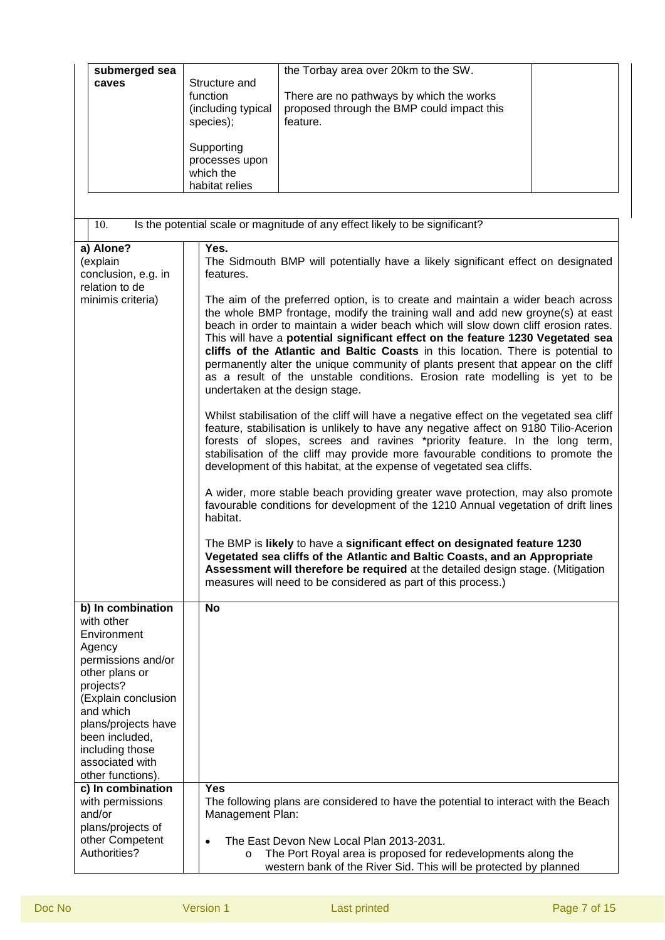| submerged sea                                                                                                                                                                                                                                         |                                                                                                                                                                                                                                                                                                                                                                                                                                                                                                                                                                                                                                                                                                                                                                                                                                                                                                                                                                                                                                                                                                                                                                                                                                                                                                                                                                                                                                                                                                                                                                                                                                                                                                                                                                | the Torbay area over 20km to the SW.                                                                                                                                                                                                                                |  |
|-------------------------------------------------------------------------------------------------------------------------------------------------------------------------------------------------------------------------------------------------------|----------------------------------------------------------------------------------------------------------------------------------------------------------------------------------------------------------------------------------------------------------------------------------------------------------------------------------------------------------------------------------------------------------------------------------------------------------------------------------------------------------------------------------------------------------------------------------------------------------------------------------------------------------------------------------------------------------------------------------------------------------------------------------------------------------------------------------------------------------------------------------------------------------------------------------------------------------------------------------------------------------------------------------------------------------------------------------------------------------------------------------------------------------------------------------------------------------------------------------------------------------------------------------------------------------------------------------------------------------------------------------------------------------------------------------------------------------------------------------------------------------------------------------------------------------------------------------------------------------------------------------------------------------------------------------------------------------------------------------------------------------------|---------------------------------------------------------------------------------------------------------------------------------------------------------------------------------------------------------------------------------------------------------------------|--|
| caves                                                                                                                                                                                                                                                 | Structure and<br>function<br>(including typical<br>species);<br>Supporting<br>processes upon<br>which the<br>habitat relies                                                                                                                                                                                                                                                                                                                                                                                                                                                                                                                                                                                                                                                                                                                                                                                                                                                                                                                                                                                                                                                                                                                                                                                                                                                                                                                                                                                                                                                                                                                                                                                                                                    | There are no pathways by which the works<br>proposed through the BMP could impact this<br>feature.                                                                                                                                                                  |  |
| 10.                                                                                                                                                                                                                                                   |                                                                                                                                                                                                                                                                                                                                                                                                                                                                                                                                                                                                                                                                                                                                                                                                                                                                                                                                                                                                                                                                                                                                                                                                                                                                                                                                                                                                                                                                                                                                                                                                                                                                                                                                                                |                                                                                                                                                                                                                                                                     |  |
| a) Alone?<br>(explain<br>conclusion, e.g. in<br>relation to de<br>minimis criteria)                                                                                                                                                                   | Is the potential scale or magnitude of any effect likely to be significant?<br>Yes.<br>The Sidmouth BMP will potentially have a likely significant effect on designated<br>features.<br>The aim of the preferred option, is to create and maintain a wider beach across<br>the whole BMP frontage, modify the training wall and add new groyne(s) at east<br>beach in order to maintain a wider beach which will slow down cliff erosion rates.<br>This will have a potential significant effect on the feature 1230 Vegetated sea<br>cliffs of the Atlantic and Baltic Coasts in this location. There is potential to<br>permanently alter the unique community of plants present that appear on the cliff<br>as a result of the unstable conditions. Erosion rate modelling is yet to be<br>undertaken at the design stage.<br>Whilst stabilisation of the cliff will have a negative effect on the vegetated sea cliff<br>feature, stabilisation is unlikely to have any negative affect on 9180 Tilio-Acerion<br>forests of slopes, screes and ravines *priority feature. In the long term,<br>stabilisation of the cliff may provide more favourable conditions to promote the<br>development of this habitat, at the expense of vegetated sea cliffs.<br>A wider, more stable beach providing greater wave protection, may also promote<br>favourable conditions for development of the 1210 Annual vegetation of drift lines<br>habitat.<br>The BMP is likely to have a significant effect on designated feature 1230<br>Vegetated sea cliffs of the Atlantic and Baltic Coasts, and an Appropriate<br>Assessment will therefore be required at the detailed design stage. (Mitigation<br>measures will need to be considered as part of this process.) |                                                                                                                                                                                                                                                                     |  |
| b) In combination<br>with other<br>Environment<br>Agency<br>permissions and/or<br>other plans or<br>projects?<br>(Explain conclusion<br>and which<br>plans/projects have<br>been included,<br>including those<br>associated with<br>other functions). | <b>No</b>                                                                                                                                                                                                                                                                                                                                                                                                                                                                                                                                                                                                                                                                                                                                                                                                                                                                                                                                                                                                                                                                                                                                                                                                                                                                                                                                                                                                                                                                                                                                                                                                                                                                                                                                                      |                                                                                                                                                                                                                                                                     |  |
| c) In combination<br>with permissions<br>and/or<br>plans/projects of<br>other Competent<br>Authorities?                                                                                                                                               | <b>Yes</b><br>Management Plan:<br>$\circ$                                                                                                                                                                                                                                                                                                                                                                                                                                                                                                                                                                                                                                                                                                                                                                                                                                                                                                                                                                                                                                                                                                                                                                                                                                                                                                                                                                                                                                                                                                                                                                                                                                                                                                                      | The following plans are considered to have the potential to interact with the Beach<br>The East Devon New Local Plan 2013-2031.<br>The Port Royal area is proposed for redevelopments along the<br>western bank of the River Sid. This will be protected by planned |  |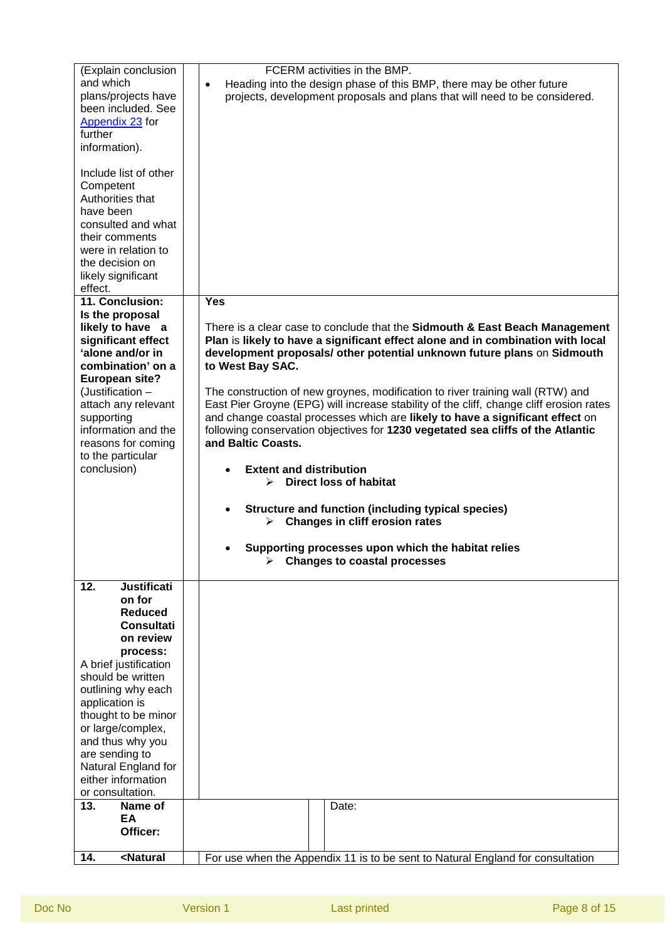| (Explain conclusion                       | FCERM activities in the BMP.                                                            |
|-------------------------------------------|-----------------------------------------------------------------------------------------|
| and which                                 | Heading into the design phase of this BMP, there may be other future<br>$\bullet$       |
| plans/projects have                       | projects, development proposals and plans that will need to be considered.              |
| been included. See                        |                                                                                         |
| Appendix 23 for                           |                                                                                         |
| further                                   |                                                                                         |
|                                           |                                                                                         |
| information).                             |                                                                                         |
|                                           |                                                                                         |
| Include list of other                     |                                                                                         |
| Competent                                 |                                                                                         |
| Authorities that                          |                                                                                         |
| have been                                 |                                                                                         |
| consulted and what                        |                                                                                         |
| their comments                            |                                                                                         |
| were in relation to                       |                                                                                         |
| the decision on                           |                                                                                         |
| likely significant                        |                                                                                         |
| effect.                                   |                                                                                         |
| 11. Conclusion:                           | <b>Yes</b>                                                                              |
| Is the proposal                           |                                                                                         |
| likely to have a                          | There is a clear case to conclude that the Sidmouth & East Beach Management             |
| significant effect                        | Plan is likely to have a significant effect alone and in combination with local         |
| 'alone and/or in                          | development proposals/ other potential unknown future plans on Sidmouth                 |
| combination' on a                         | to West Bay SAC.                                                                        |
| European site?                            |                                                                                         |
| (Justification -                          | The construction of new groynes, modification to river training wall (RTW) and          |
| attach any relevant                       | East Pier Groyne (EPG) will increase stability of the cliff, change cliff erosion rates |
| supporting                                | and change coastal processes which are likely to have a significant effect on           |
| information and the                       | following conservation objectives for 1230 vegetated sea cliffs of the Atlantic         |
| reasons for coming                        | and Baltic Coasts.                                                                      |
| to the particular                         |                                                                                         |
| conclusion)                               | <b>Extent and distribution</b>                                                          |
|                                           | <b>Direct loss of habitat</b><br>↘                                                      |
|                                           |                                                                                         |
|                                           | Structure and function (including typical species)                                      |
|                                           | $\triangleright$ Changes in cliff erosion rates                                         |
|                                           |                                                                                         |
|                                           | Supporting processes upon which the habitat relies                                      |
|                                           | $\triangleright$ Changes to coastal processes                                           |
|                                           |                                                                                         |
| 12.<br>Justificati                        |                                                                                         |
| on for                                    |                                                                                         |
| <b>Reduced</b>                            |                                                                                         |
| <b>Consultati</b>                         |                                                                                         |
| on review                                 |                                                                                         |
| process:                                  |                                                                                         |
| A brief justification                     |                                                                                         |
| should be written                         |                                                                                         |
| outlining why each                        |                                                                                         |
| application is                            |                                                                                         |
| thought to be minor                       |                                                                                         |
| or large/complex,                         |                                                                                         |
|                                           |                                                                                         |
| and thus why you                          |                                                                                         |
| are sending to                            |                                                                                         |
| Natural England for<br>either information |                                                                                         |
| or consultation.                          |                                                                                         |
| Name of                                   |                                                                                         |
| 13.<br>EA                                 | Date:                                                                                   |
| Officer:                                  |                                                                                         |
|                                           |                                                                                         |
| <natural<br>14.</natural<br>              | For use when the Appendix 11 is to be sent to Natural England for consultation          |
|                                           |                                                                                         |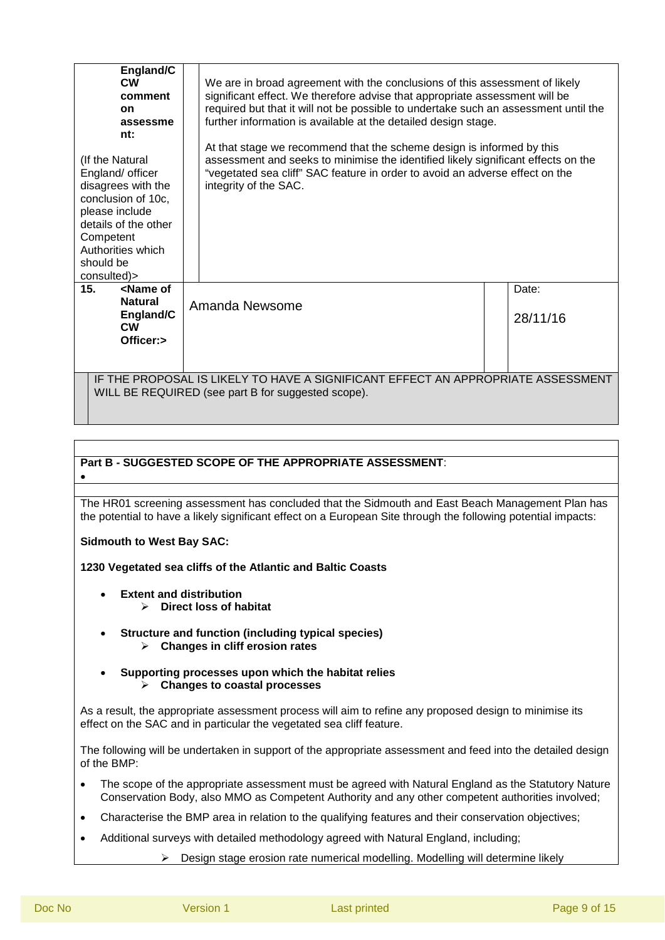| England/C<br><b>CW</b><br>comment<br><b>on</b><br>assessme<br>nt:                                                                                                                       | We are in broad agreement with the conclusions of this assessment of likely<br>significant effect. We therefore advise that appropriate assessment will be<br>required but that it will not be possible to undertake such an assessment until the<br>further information is available at the detailed design stage.<br>At that stage we recommend that the scheme design is informed by this<br>assessment and seeks to minimise the identified likely significant effects on the<br>"vegetated sea cliff" SAC feature in order to avoid an adverse effect on the<br>integrity of the SAC. |                   |  |
|-----------------------------------------------------------------------------------------------------------------------------------------------------------------------------------------|--------------------------------------------------------------------------------------------------------------------------------------------------------------------------------------------------------------------------------------------------------------------------------------------------------------------------------------------------------------------------------------------------------------------------------------------------------------------------------------------------------------------------------------------------------------------------------------------|-------------------|--|
| (If the Natural<br>England/ officer<br>disagrees with the<br>conclusion of 10c,<br>please include<br>details of the other<br>Competent<br>Authorities which<br>should be<br>consulted)> |                                                                                                                                                                                                                                                                                                                                                                                                                                                                                                                                                                                            |                   |  |
| <name of<br="">15.<br/><b>Natural</b><br/>England/C<br/><b>CW</b><br/>Officer:&gt;</name>                                                                                               | Amanda Newsome                                                                                                                                                                                                                                                                                                                                                                                                                                                                                                                                                                             | Date:<br>28/11/16 |  |
| IF THE PROPOSAL IS LIKELY TO HAVE A SIGNIFICANT EFFECT AN APPROPRIATE ASSESSMENT<br>WILL BE REQUIRED (see part B for suggested scope).                                                  |                                                                                                                                                                                                                                                                                                                                                                                                                                                                                                                                                                                            |                   |  |

#### **Part B - SUGGESTED SCOPE OF THE APPROPRIATE ASSESSMENT**:

The HR01 screening assessment has concluded that the Sidmouth and East Beach Management Plan has the potential to have a likely significant effect on a European Site through the following potential impacts:

**Sidmouth to West Bay SAC:**

•

**1230 Vegetated sea cliffs of the Atlantic and Baltic Coasts**

- **Extent and distribution** 
	- **Direct loss of habitat**
- **Structure and function (including typical species) Changes in cliff erosion rates**
- **Supporting processes upon which the habitat relies Changes to coastal processes**

As a result, the appropriate assessment process will aim to refine any proposed design to minimise its effect on the SAC and in particular the vegetated sea cliff feature.

The following will be undertaken in support of the appropriate assessment and feed into the detailed design of the BMP:

- The scope of the appropriate assessment must be agreed with Natural England as the Statutory Nature Conservation Body, also MMO as Competent Authority and any other competent authorities involved;
- Characterise the BMP area in relation to the qualifying features and their conservation objectives;
- Additional surveys with detailed methodology agreed with Natural England, including;
	- Design stage erosion rate numerical modelling. Modelling will determine likely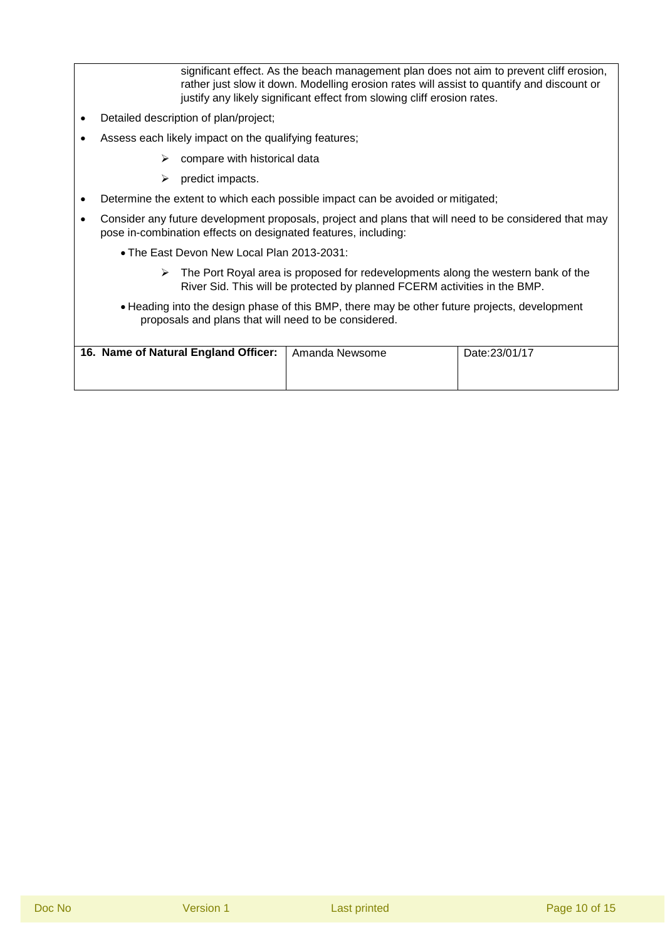significant effect. As the beach management plan does not aim to prevent cliff erosion, rather just slow it down. Modelling erosion rates will assist to quantify and discount or justify any likely significant effect from slowing cliff erosion rates.

- Detailed description of plan/project;
- Assess each likely impact on the qualifying features;
	- $\triangleright$  compare with historical data
	- $\triangleright$  predict impacts.
- Determine the extent to which each possible impact can be avoided or mitigated;
- Consider any future development proposals, project and plans that will need to be considered that may pose in-combination effects on designated features, including:
	- The East Devon New Local Plan 2013-2031:
		- $\triangleright$  The Port Royal area is proposed for redevelopments along the western bank of the River Sid. This will be protected by planned FCERM activities in the BMP.
	- Heading into the design phase of this BMP, there may be other future projects, development proposals and plans that will need to be considered.

| 16. Name of Natural England Officer:   Amanda Newsome | Date:23/01/17 |
|-------------------------------------------------------|---------------|
|                                                       |               |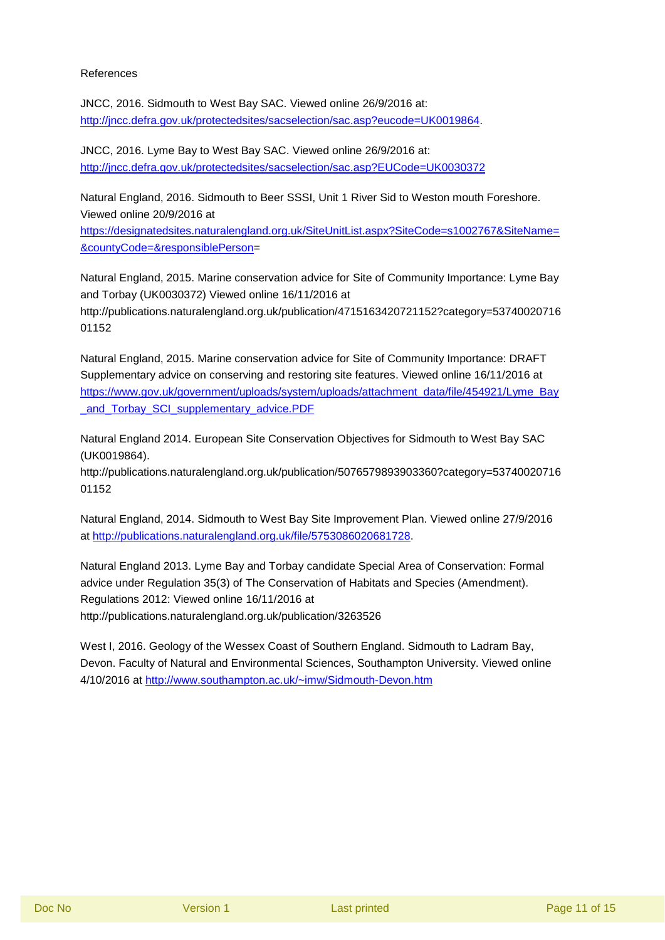References

JNCC, 2016. Sidmouth to West Bay SAC. Viewed online 26/9/2016 at: [http://jncc.defra.gov.uk/protectedsites/sacselection/sac.asp?eucode=UK0019864.](http://jncc.defra.gov.uk/protectedsites/sacselection/sac.asp?eucode=UK0019864)

JNCC, 2016. Lyme Bay to West Bay SAC. Viewed online 26/9/2016 at: <http://jncc.defra.gov.uk/protectedsites/sacselection/sac.asp?EUCode=UK0030372>

Natural England, 2016. Sidmouth to Beer SSSI, Unit 1 River Sid to Weston mouth Foreshore. Viewed online 20/9/2016 at

[https://designatedsites.naturalengland.org.uk/SiteUnitList.aspx?SiteCode=s1002767&SiteName=](https://designatedsites.naturalengland.org.uk/SiteUnitList.aspx?SiteCode=s1002767&SiteName=&countyCode=&responsiblePerson) [&countyCode=&responsiblePerson=](https://designatedsites.naturalengland.org.uk/SiteUnitList.aspx?SiteCode=s1002767&SiteName=&countyCode=&responsiblePerson)

Natural England, 2015. Marine conservation advice for Site of Community Importance: Lyme Bay and Torbay (UK0030372) Viewed online 16/11/2016 at http://publications.naturalengland.org.uk/publication/4715163420721152?category=53740020716 01152

Natural England, 2015. Marine conservation advice for Site of Community Importance: DRAFT Supplementary advice on conserving and restoring site features. Viewed online 16/11/2016 at [https://www.gov.uk/government/uploads/system/uploads/attachment\\_data/file/454921/Lyme\\_Bay](https://www.gov.uk/government/uploads/system/uploads/attachment_data/file/454921/Lyme_Bay_and_Torbay_SCI_supplementary_advice.PDF) and Torbay SCI supplementary advice.PDF

Natural England 2014. European Site Conservation Objectives for Sidmouth to West Bay SAC (UK0019864).

http://publications.naturalengland.org.uk/publication/5076579893903360?category=53740020716 01152

Natural England, 2014. Sidmouth to West Bay Site Improvement Plan. Viewed online 27/9/2016 at [http://publications.naturalengland.org.uk/file/5753086020681728.](http://publications.naturalengland.org.uk/file/5753086020681728)

Natural England 2013. Lyme Bay and Torbay candidate Special Area of Conservation: Formal advice under Regulation 35(3) of The Conservation of Habitats and Species (Amendment). Regulations 2012: Viewed online 16/11/2016 at http://publications.naturalengland.org.uk/publication/3263526

West I, 2016. Geology of the Wessex Coast of Southern England. Sidmouth to Ladram Bay, Devon. Faculty of Natural and Environmental Sciences, Southampton University. Viewed online 4/10/2016 at [http://www.southampton.ac.uk/~imw/Sidmouth-Devon.htm](http://www.southampton.ac.uk/%7Eimw/Sidmouth-Devon.htm)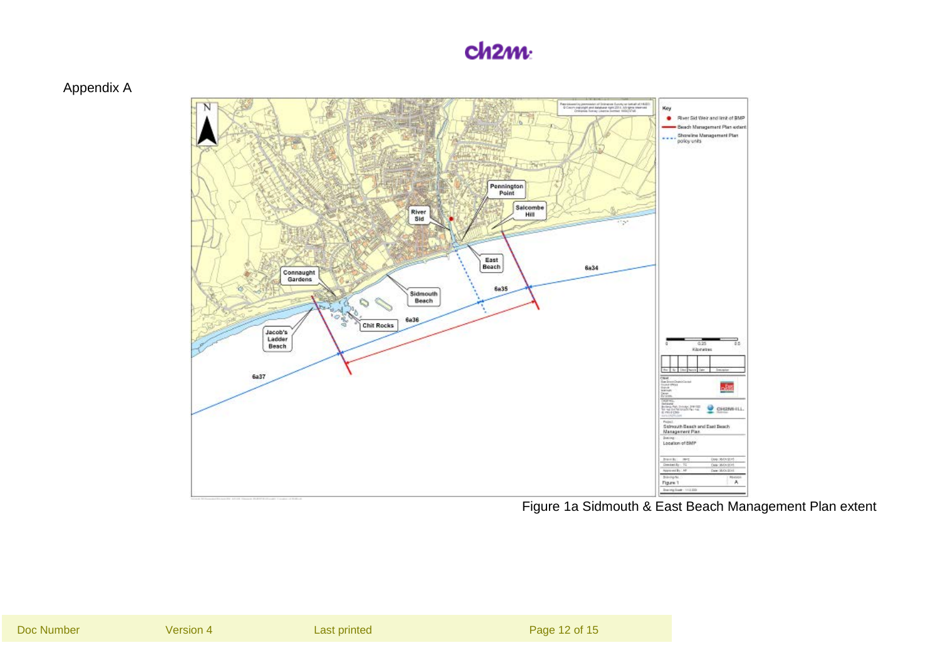# ch<sub>2m</sub>





Figure 1a Sidmouth & East Beach Management Plan extent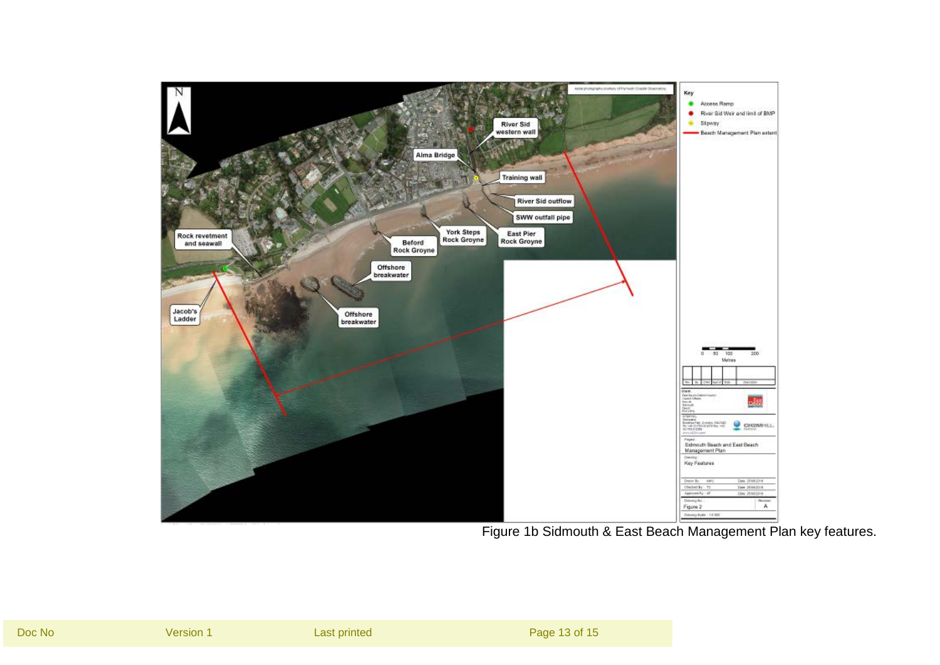

Figure 1b Sidmouth & East Beach Management Plan key features.